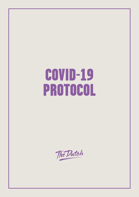# COVID-19 PROTOCOL

The Dutch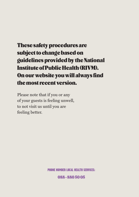## These safety procedures are subject to change based on guidelines provided by the National Institute of Public Health (RIVM). On our website you will always find the most recent version.

Please note that if you or any of your guests is feeling unwell, to not visit us until you are feeling better.

PHONE NUMBER LOCAL HEALTH SERVICES:

088 - 880 50 05